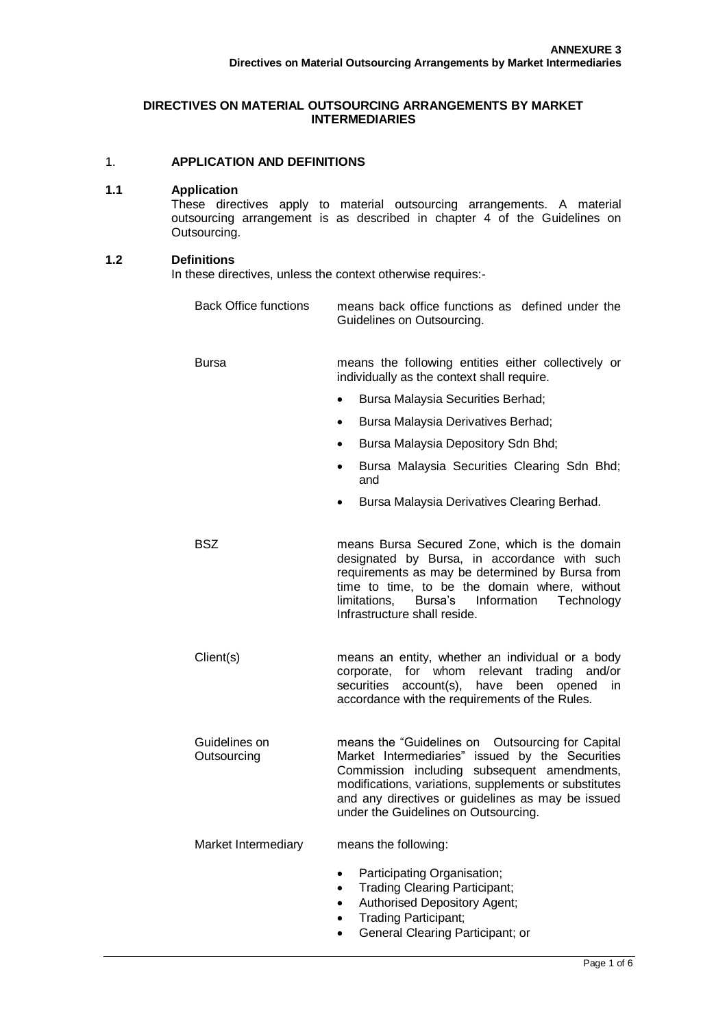### **DIRECTIVES ON MATERIAL OUTSOURCING ARRANGEMENTS BY MARKET INTERMEDIARIES**

# 1. **APPLICATION AND DEFINITIONS**

#### **1.1 Application**

These directives apply to material outsourcing arrangements. A material outsourcing arrangement is as described in chapter 4 of the Guidelines on Outsourcing.

### **1.2 Definitions**

In these directives, unless the context otherwise requires:-

| <b>Back Office functions</b> | means back office functions as defined under the<br>Guidelines on Outsourcing.                                                                                                                                                                                                                                     |
|------------------------------|--------------------------------------------------------------------------------------------------------------------------------------------------------------------------------------------------------------------------------------------------------------------------------------------------------------------|
| <b>Bursa</b>                 | means the following entities either collectively or<br>individually as the context shall require.                                                                                                                                                                                                                  |
|                              | Bursa Malaysia Securities Berhad;<br>$\bullet$                                                                                                                                                                                                                                                                     |
|                              | Bursa Malaysia Derivatives Berhad;<br>$\bullet$                                                                                                                                                                                                                                                                    |
|                              | Bursa Malaysia Depository Sdn Bhd;<br>$\bullet$                                                                                                                                                                                                                                                                    |
|                              | Bursa Malaysia Securities Clearing Sdn Bhd;<br>and                                                                                                                                                                                                                                                                 |
|                              | Bursa Malaysia Derivatives Clearing Berhad.<br>$\bullet$                                                                                                                                                                                                                                                           |
| <b>BSZ</b>                   | means Bursa Secured Zone, which is the domain<br>designated by Bursa, in accordance with such<br>requirements as may be determined by Bursa from<br>time to time, to be the domain where, without<br>limitations,<br>Bursa's Information<br>Technology<br>Infrastructure shall reside.                             |
| Client(s)                    | means an entity, whether an individual or a body<br>for<br>whom<br>relevant<br>trading<br>and/or<br>corporate,<br>securities<br>account(s),<br>have<br>been<br>opened<br>in<br>accordance with the requirements of the Rules.                                                                                      |
| Guidelines on<br>Outsourcing | means the "Guidelines on<br><b>Outsourcing for Capital</b><br>Market Intermediaries" issued by the Securities<br>Commission including subsequent amendments,<br>modifications, variations, supplements or substitutes<br>and any directives or guidelines as may be issued<br>under the Guidelines on Outsourcing. |
| Market Intermediary          | means the following:                                                                                                                                                                                                                                                                                               |
|                              | Participating Organisation;<br>$\bullet$<br><b>Trading Clearing Participant;</b><br>$\bullet$<br><b>Authorised Depository Agent;</b><br>$\bullet$<br><b>Trading Participant;</b><br>$\bullet$<br>General Clearing Participant; or                                                                                  |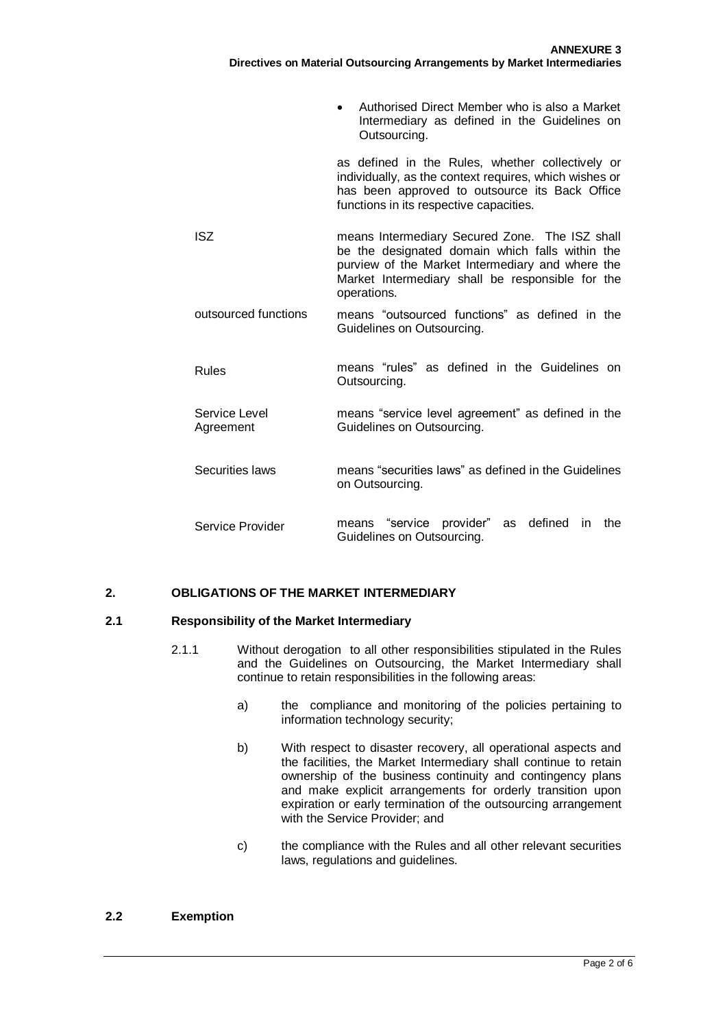|                            | Authorised Direct Member who is also a Market<br>$\bullet$<br>Intermediary as defined in the Guidelines on<br>Outsourcing.                                                                                               |
|----------------------------|--------------------------------------------------------------------------------------------------------------------------------------------------------------------------------------------------------------------------|
|                            | as defined in the Rules, whether collectively or<br>individually, as the context requires, which wishes or<br>has been approved to outsource its Back Office<br>functions in its respective capacities.                  |
| <b>ISZ</b>                 | means Intermediary Secured Zone. The ISZ shall<br>be the designated domain which falls within the<br>purview of the Market Intermediary and where the<br>Market Intermediary shall be responsible for the<br>operations. |
| outsourced functions       | means "outsourced functions" as defined in the<br>Guidelines on Outsourcing.                                                                                                                                             |
| Rules                      | means "rules" as defined in the Guidelines on<br>Outsourcing.                                                                                                                                                            |
| Service Level<br>Agreement | means "service level agreement" as defined in the<br>Guidelines on Outsourcing.                                                                                                                                          |
| Securities laws            | means "securities laws" as defined in the Guidelines<br>on Outsourcing.                                                                                                                                                  |
| Service Provider           | means "service provider"<br>defined<br>in.<br>the<br>as<br>Guidelines on Outsourcing.                                                                                                                                    |

# **2. OBLIGATIONS OF THE MARKET INTERMEDIARY**

### **2.1 Responsibility of the Market Intermediary**

- 2.1.1 Without derogation to all other responsibilities stipulated in the Rules and the Guidelines on Outsourcing, the Market Intermediary shall continue to retain responsibilities in the following areas:
	- a) the compliance and monitoring of the policies pertaining to information technology security;
	- b) With respect to disaster recovery, all operational aspects and the facilities, the Market Intermediary shall continue to retain ownership of the business continuity and contingency plans and make explicit arrangements for orderly transition upon expiration or early termination of the outsourcing arrangement with the Service Provider; and
	- c) the compliance with the Rules and all other relevant securities laws, regulations and guidelines.

#### **2.2 Exemption**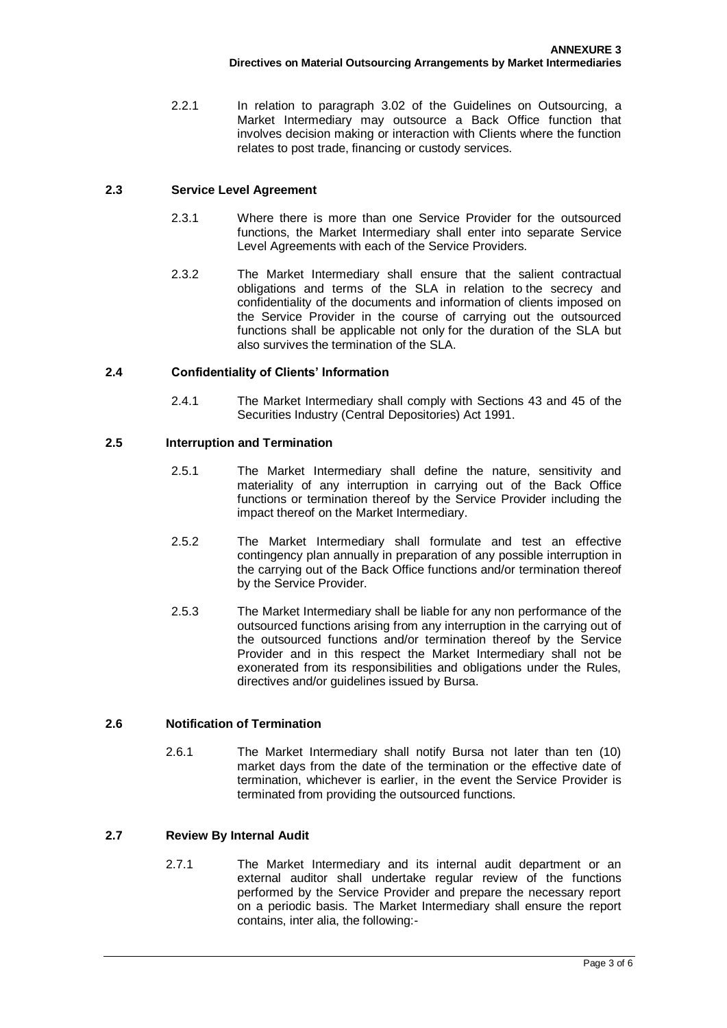2.2.1 In relation to paragraph 3.02 of the Guidelines on Outsourcing, a Market Intermediary may outsource a Back Office function that involves decision making or interaction with Clients where the function relates to post trade, financing or custody services.

### **2.3 Service Level Agreement**

- 2.3.1 Where there is more than one Service Provider for the outsourced functions, the Market Intermediary shall enter into separate Service Level Agreements with each of the Service Providers.
- 2.3.2 The Market Intermediary shall ensure that the salient contractual obligations and terms of the SLA in relation to the secrecy and confidentiality of the documents and information of clients imposed on the Service Provider in the course of carrying out the outsourced functions shall be applicable not only for the duration of the SLA but also survives the termination of the SLA.

### **2.4 Confidentiality of Clients' Information**

2.4.1 The Market Intermediary shall comply with Sections 43 and 45 of the Securities Industry (Central Depositories) Act 1991.

### **2.5 Interruption and Termination**

- 2.5.1 The Market Intermediary shall define the nature, sensitivity and materiality of any interruption in carrying out of the Back Office functions or termination thereof by the Service Provider including the impact thereof on the Market Intermediary.
- 2.5.2 The Market Intermediary shall formulate and test an effective contingency plan annually in preparation of any possible interruption in the carrying out of the Back Office functions and/or termination thereof by the Service Provider.
- 2.5.3 The Market Intermediary shall be liable for any non performance of the outsourced functions arising from any interruption in the carrying out of the outsourced functions and/or termination thereof by the Service Provider and in this respect the Market Intermediary shall not be exonerated from its responsibilities and obligations under the Rules, directives and/or guidelines issued by Bursa.

### **2.6 Notification of Termination**

2.6.1 The Market Intermediary shall notify Bursa not later than ten (10) market days from the date of the termination or the effective date of termination, whichever is earlier, in the event the Service Provider is terminated from providing the outsourced functions.

# **2.7 Review By Internal Audit**

2.7.1 The Market Intermediary and its internal audit department or an external auditor shall undertake regular review of the functions performed by the Service Provider and prepare the necessary report on a periodic basis. The Market Intermediary shall ensure the report contains, inter alia, the following:-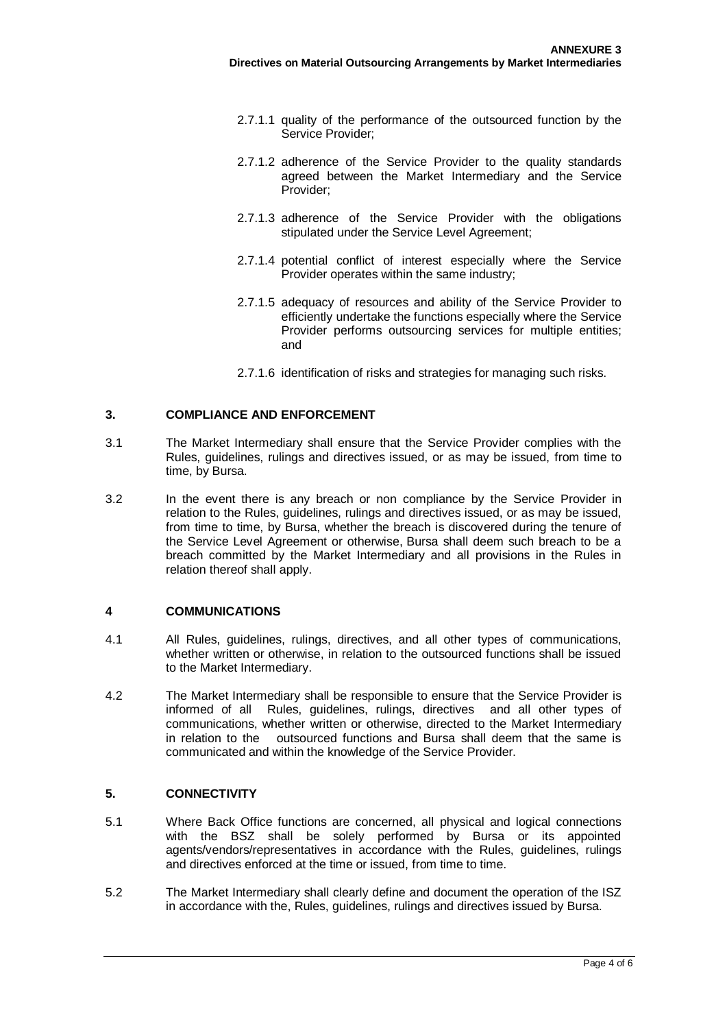- 2.7.1.1 quality of the performance of the outsourced function by the Service Provider;
- 2.7.1.2 adherence of the Service Provider to the quality standards agreed between the Market Intermediary and the Service Provider;
- 2.7.1.3 adherence of the Service Provider with the obligations stipulated under the Service Level Agreement;
- 2.7.1.4 potential conflict of interest especially where the Service Provider operates within the same industry;
- 2.7.1.5 adequacy of resources and ability of the Service Provider to efficiently undertake the functions especially where the Service Provider performs outsourcing services for multiple entities; and
- 2.7.1.6 identification of risks and strategies for managing such risks.

#### **3. COMPLIANCE AND ENFORCEMENT**

- 3.1 The Market Intermediary shall ensure that the Service Provider complies with the Rules, guidelines, rulings and directives issued, or as may be issued, from time to time, by Bursa.
- 3.2 In the event there is any breach or non compliance by the Service Provider in relation to the Rules, guidelines, rulings and directives issued, or as may be issued, from time to time, by Bursa, whether the breach is discovered during the tenure of the Service Level Agreement or otherwise, Bursa shall deem such breach to be a breach committed by the Market Intermediary and all provisions in the Rules in relation thereof shall apply.

#### **4 COMMUNICATIONS**

- 4.1 All Rules, guidelines, rulings, directives, and all other types of communications, whether written or otherwise, in relation to the outsourced functions shall be issued to the Market Intermediary.
- 4.2 The Market Intermediary shall be responsible to ensure that the Service Provider is informed of all Rules, guidelines, rulings, directives and all other types of communications, whether written or otherwise, directed to the Market Intermediary in relation to the outsourced functions and Bursa shall deem that the same is communicated and within the knowledge of the Service Provider.

#### **5. CONNECTIVITY**

- 5.1 Where Back Office functions are concerned, all physical and logical connections with the BSZ shall be solely performed by Bursa or its appointed agents/vendors/representatives in accordance with the Rules, guidelines, rulings and directives enforced at the time or issued, from time to time.
- 5.2 The Market Intermediary shall clearly define and document the operation of the ISZ in accordance with the, Rules, guidelines, rulings and directives issued by Bursa.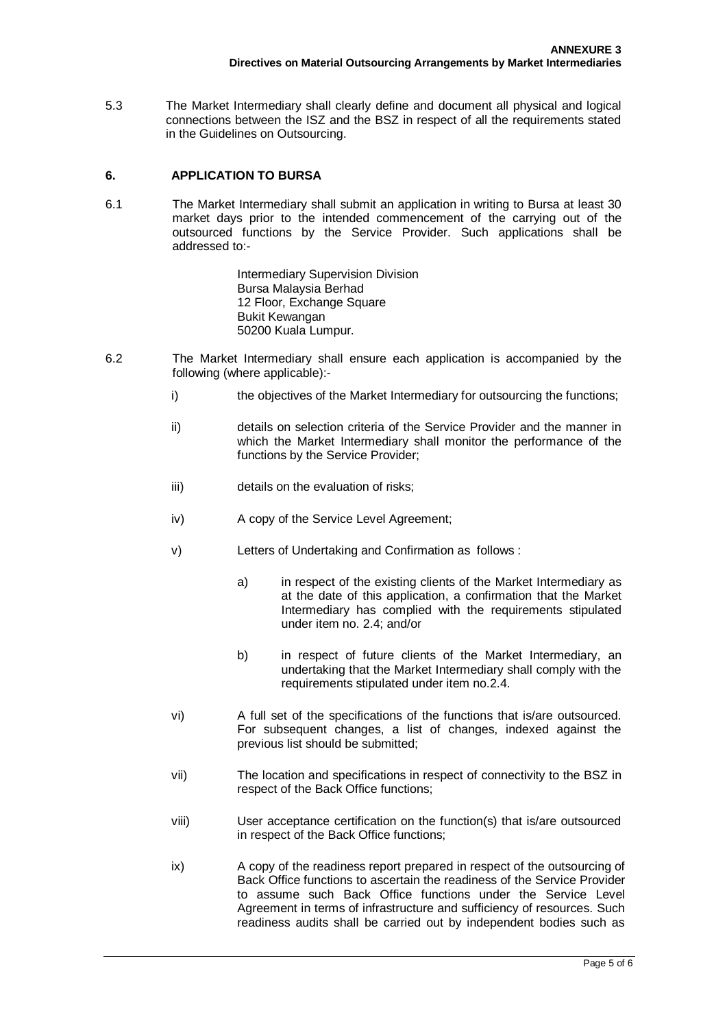5.3 The Market Intermediary shall clearly define and document all physical and logical connections between the ISZ and the BSZ in respect of all the requirements stated in the Guidelines on Outsourcing.

#### **6. APPLICATION TO BURSA**

6.1 The Market Intermediary shall submit an application in writing to Bursa at least 30 market days prior to the intended commencement of the carrying out of the outsourced functions by the Service Provider. Such applications shall be addressed to:-

> Intermediary Supervision Division Bursa Malaysia Berhad 12 Floor, Exchange Square Bukit Kewangan 50200 Kuala Lumpur.

- 6.2 The Market Intermediary shall ensure each application is accompanied by the following (where applicable):
	- i) the objectives of the Market Intermediary for outsourcing the functions;
	- ii) details on selection criteria of the Service Provider and the manner in which the Market Intermediary shall monitor the performance of the functions by the Service Provider;
	- iii) details on the evaluation of risks;
	- iv) A copy of the Service Level Agreement;
	- v) Letters of Undertaking and Confirmation as follows :
		- a) in respect of the existing clients of the Market Intermediary as at the date of this application, a confirmation that the Market Intermediary has complied with the requirements stipulated under item no. 2.4; and/or
		- b) in respect of future clients of the Market Intermediary, an undertaking that the Market Intermediary shall comply with the requirements stipulated under item no.2.4.
	- vi) A full set of the specifications of the functions that is/are outsourced. For subsequent changes, a list of changes, indexed against the previous list should be submitted;
	- vii) The location and specifications in respect of connectivity to the BSZ in respect of the Back Office functions;
	- viii) User acceptance certification on the function(s) that is/are outsourced in respect of the Back Office functions;
	- ix) A copy of the readiness report prepared in respect of the outsourcing of Back Office functions to ascertain the readiness of the Service Provider to assume such Back Office functions under the Service Level Agreement in terms of infrastructure and sufficiency of resources. Such readiness audits shall be carried out by independent bodies such as